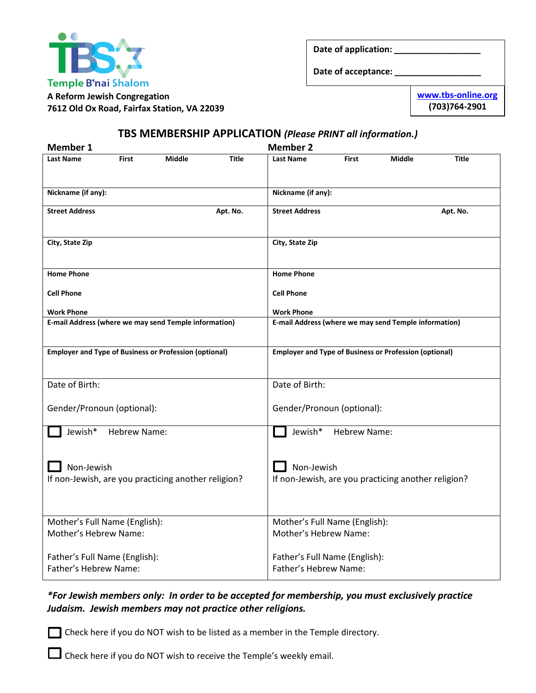

**Date of application: \_\_\_\_\_\_\_\_\_\_\_\_\_\_\_\_\_\_**

**Date of acceptance: \_\_\_\_\_\_\_\_\_\_\_\_\_\_\_\_\_\_**

**A Reform Jewish Congregation 7612 Old Ox Road, Fairfax Station, VA 22039** **[www.tbs-online.org](http://www.tbs-online.org/) (703)764-2901**

## **TBS MEMBERSHIP APPLICATION** *(Please PRINT all information.)*

| <b>Member 1</b>                                                   | <b>Member 2</b>                                                   |
|-------------------------------------------------------------------|-------------------------------------------------------------------|
| <b>Middle</b><br><b>Last Name</b><br><b>First</b><br><b>Title</b> | <b>Middle</b><br><b>Last Name</b><br><b>First</b><br><b>Title</b> |
| Nickname (if any):                                                | Nickname (if any):                                                |
| <b>Street Address</b><br>Apt. No.                                 | <b>Street Address</b><br>Apt. No.                                 |
| City, State Zip                                                   | City, State Zip                                                   |
| <b>Home Phone</b>                                                 | <b>Home Phone</b>                                                 |
| <b>Cell Phone</b>                                                 | <b>Cell Phone</b>                                                 |
| <b>Work Phone</b>                                                 | <b>Work Phone</b>                                                 |
| E-mail Address (where we may send Temple information)             | E-mail Address (where we may send Temple information)             |
| <b>Employer and Type of Business or Profession (optional)</b>     | <b>Employer and Type of Business or Profession (optional)</b>     |
| Date of Birth:                                                    | Date of Birth:                                                    |
| Gender/Pronoun (optional):                                        | Gender/Pronoun (optional):                                        |
| Jewish*<br>Hebrew Name:                                           | Jewish*<br><b>Hebrew Name:</b>                                    |
| Non-Jewish<br>If non-Jewish, are you practicing another religion? | Non-Jewish<br>If non-Jewish, are you practicing another religion? |
| Mother's Full Name (English):<br>Mother's Hebrew Name:            | Mother's Full Name (English):<br>Mother's Hebrew Name:            |
|                                                                   |                                                                   |
| Father's Full Name (English):                                     | Father's Full Name (English):                                     |
| Father's Hebrew Name:                                             | Father's Hebrew Name:                                             |

### *\*For Jewish members only: In order to be accepted for membership, you must exclusively practice Judaism. Jewish members may not practice other religions.*

Check here if you do NOT wish to be listed as a member in the Temple directory.

Check here if you do NOT wish to receive the Temple's weekly email.

 $\overline{a}$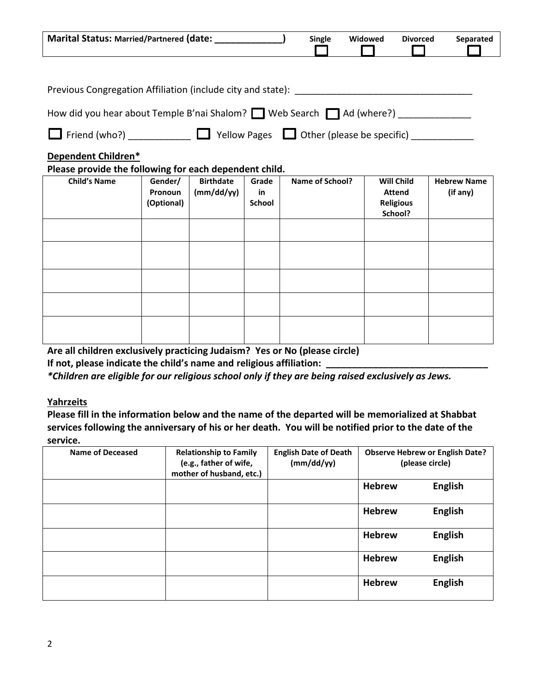| Marital Status: Married/Partnered (date: _____________                           |                    |                                |               | <b>Single</b>   | Widowed | <b>Divorced</b>                    | Separated                      |
|----------------------------------------------------------------------------------|--------------------|--------------------------------|---------------|-----------------|---------|------------------------------------|--------------------------------|
|                                                                                  |                    |                                |               |                 |         |                                    |                                |
|                                                                                  |                    |                                |               |                 |         |                                    |                                |
| How did you hear about Temple B'nai Shalom? Web Search   Ad (where?) ___________ |                    |                                |               |                 |         |                                    |                                |
| $\Box$ Friend (who?) $\Box$ Yellow Pages $\Box$ Other (please be specific)       |                    |                                |               |                 |         |                                    |                                |
| Dependent Children*<br>Please provide the following for each dependent child.    |                    |                                |               |                 |         |                                    |                                |
| <b>Child's Name</b>                                                              | Gender/<br>Pronoun | <b>Birthdate</b><br>(mm/dd/yy) | Grade<br>in   | Name of School? |         | <b>Will Child</b><br><b>Attend</b> | <b>Hebrew Name</b><br>(if any) |
|                                                                                  | (Optional)         |                                | <b>School</b> |                 |         | <b>Religious</b><br>School?        |                                |
|                                                                                  |                    |                                |               |                 |         |                                    |                                |
|                                                                                  |                    |                                |               |                 |         |                                    |                                |
|                                                                                  |                    |                                |               |                 |         |                                    |                                |
|                                                                                  |                    |                                |               |                 |         |                                    |                                |
|                                                                                  |                    |                                |               |                 |         |                                    |                                |
|                                                                                  |                    |                                |               |                 |         |                                    |                                |

**Are all children exclusively practicing Judaism? Yes or No (please circle)**

**If not, please indicate the child's name and religious affiliation: \_\_\_\_\_\_\_\_\_\_\_\_\_\_\_\_\_\_\_\_\_\_\_\_\_\_\_\_\_\_\_**

*\*Children are eligible for our religious school only if they are being raised exclusively as Jews.*

### **Yahrzeits**

**Please fill in the information below and the name of the departed will be memorialized at Shabbat services following the anniversary of his or her death. You will be notified prior to the date of the service.**

| <b>Name of Deceased</b> | <b>Relationship to Family</b><br>(e.g., father of wife,<br>mother of husband, etc.) | <b>English Date of Death</b><br>(mm/dd/yy) | <b>Observe Hebrew or English Date?</b><br>(please circle) |                |
|-------------------------|-------------------------------------------------------------------------------------|--------------------------------------------|-----------------------------------------------------------|----------------|
|                         |                                                                                     |                                            | <b>Hebrew</b>                                             | <b>English</b> |
|                         |                                                                                     |                                            | <b>Hebrew</b>                                             | <b>English</b> |
|                         |                                                                                     |                                            | <b>Hebrew</b>                                             | <b>English</b> |
|                         |                                                                                     |                                            | <b>Hebrew</b>                                             | <b>English</b> |
|                         |                                                                                     |                                            | <b>Hebrew</b>                                             | <b>English</b> |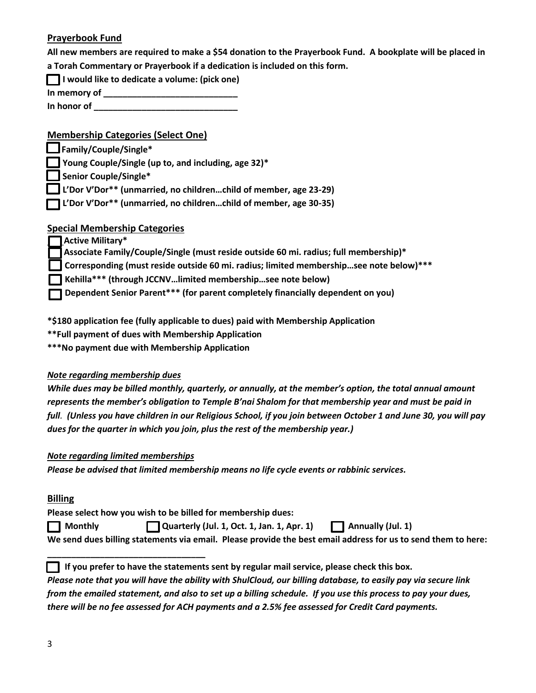### **Prayerbook Fund**

**All new members are required to make a \$54 donation to the Prayerbook Fund. A bookplate will be placed in a Torah Commentary or Prayerbook if a dedication is included on this form.**

|  | I would like to dedicate a volume: (pick one) |  |
|--|-----------------------------------------------|--|
|--|-----------------------------------------------|--|

**In memory of \_\_\_\_\_\_\_\_\_\_\_\_\_\_\_\_\_\_\_\_\_\_\_\_\_\_\_\_**

**In honor of \_\_\_\_\_\_\_\_\_\_\_\_\_\_\_\_\_\_\_\_\_\_\_\_\_\_\_\_\_\_**

### **Membership Categories (Select One)**

 **Family/Couple/Single\*** 

 **Young Couple/Single (up to, and including, age 32)\*** 

 **Senior Couple/Single\*** 

**L'Dor V'Dor\*\* (unmarried, no children…child of member, age 23-29)**

 **L'Dor V'Dor\*\* (unmarried, no children…child of member, age 30-35)**

### **Special Membership Categories**

 **Active Military\***

 **Associate Family/Couple/Single (must reside outside 60 mi. radius; full membership)\***

 **Corresponding (must reside outside 60 mi. radius; limited membership…see note below)\*\*\***

 **Kehilla\*\*\* (through JCCNV…limited membership…see note below)**

 **Dependent Senior Parent\*\*\* (for parent completely financially dependent on you)**

**\*\$180 application fee (fully applicable to dues) paid with Membership Application**

**\*\*Full payment of dues with Membership Application**

**\*\*\*No payment due with Membership Application**

#### *Note regarding membership dues*

*While dues may be billed monthly, quarterly, or annually, at the member's option, the total annual amount represents the member's obligation to Temple B'nai Shalom for that membership year and must be paid in full. (Unless you have children in our Religious School, if you join between October 1 and June 30, you will pay dues for the quarter in which you join, plus the rest of the membership year.)* 

#### *Note regarding limited memberships*

**\_\_\_\_\_\_\_\_\_\_\_\_\_\_\_\_\_\_\_\_\_\_\_\_\_\_\_\_\_\_\_\_\_** 

*Please be advised that limited membership means no life cycle events or rabbinic services.*

#### **Billing**

**Please select how you wish to be billed for membership dues:**

 **Monthly** Quarterly (Jul. 1, Oct. 1, Jan. 1, Apr. 1)  $\Box$  Annually (Jul. 1)

**We send dues billing statements via email. Please provide the best email address for us to send them to here:** 

**1** If you prefer to have the statements sent by regular mail service, please check this box.

*Please note that you will have the ability with ShulCloud, our billing database, to easily pay via secure link from the emailed statement, and also to set up a billing schedule. If you use this process to pay your dues, there will be no fee assessed for ACH payments and a 2.5% fee assessed for Credit Card payments.*